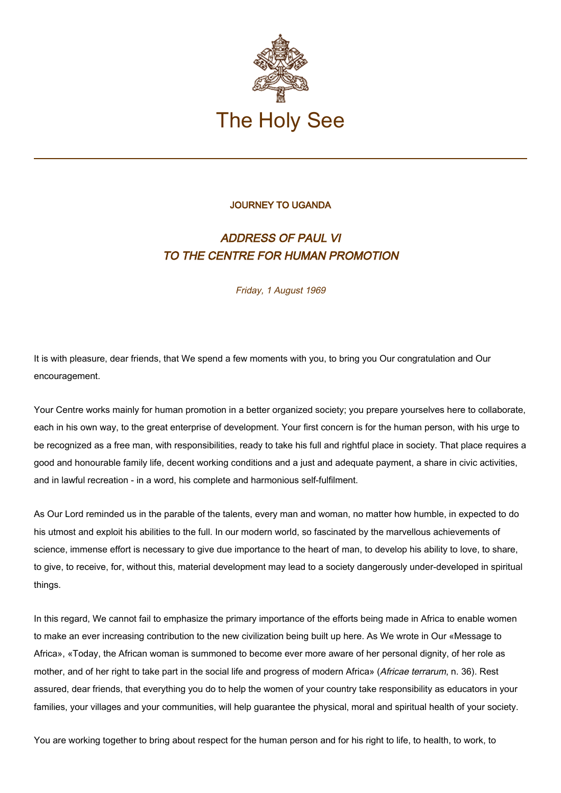

## JOURNEY TO UGANDA

## ADDRESS OF PAUL VI TO THE CENTRE FOR HUMAN PROMOTION

Friday, 1 August 1969

It is with pleasure, dear friends, that We spend a few moments with you, to bring you Our congratulation and Our encouragement.

Your Centre works mainly for human promotion in a better organized society; you prepare yourselves here to collaborate, each in his own way, to the great enterprise of development. Your first concern is for the human person, with his urge to be recognized as a free man, with responsibilities, ready to take his full and rightful place in society. That place requires a good and honourable family life, decent working conditions and a just and adequate payment, a share in civic activities, and in lawful recreation - in a word, his complete and harmonious self-fulfilment.

As Our Lord reminded us in the parable of the talents, every man and woman, no matter how humble, in expected to do his utmost and exploit his abilities to the full. In our modern world, so fascinated by the marvellous achievements of science, immense effort is necessary to give due importance to the heart of man, to develop his ability to love, to share, to give, to receive, for, without this, material development may lead to a society dangerously under-developed in spiritual things.

In this regard, We cannot fail to emphasize the primary importance of the efforts being made in Africa to enable women to make an ever increasing contribution to the new civilization being built up here. As We wrote in Our «Message to Africa», «Today, the African woman is summoned to become ever more aware of her personal dignity, of her role as mother, and of her right to take part in the social life and progress of modern Africa» (Africae terrarum, n. 36). Rest assured, dear friends, that everything you do to help the women of your country take responsibility as educators in your families, your villages and your communities, will help quarantee the physical, moral and spiritual health of your society.

You are working together to bring about respect for the human person and for his right to life, to health, to work, to